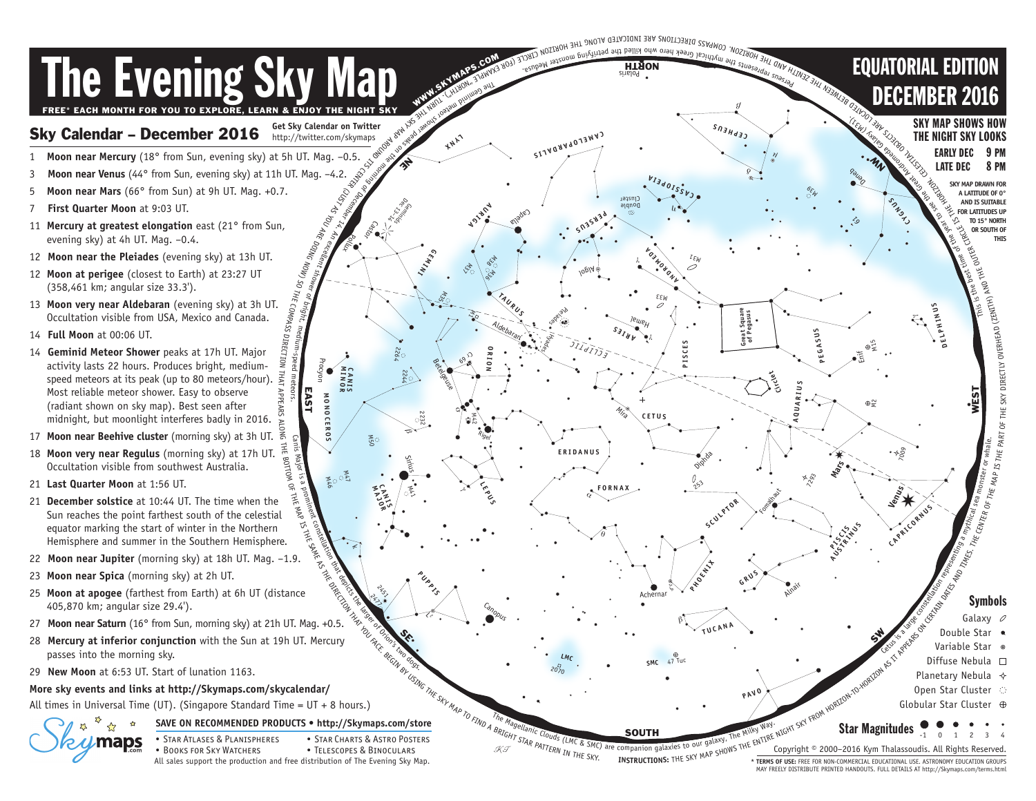